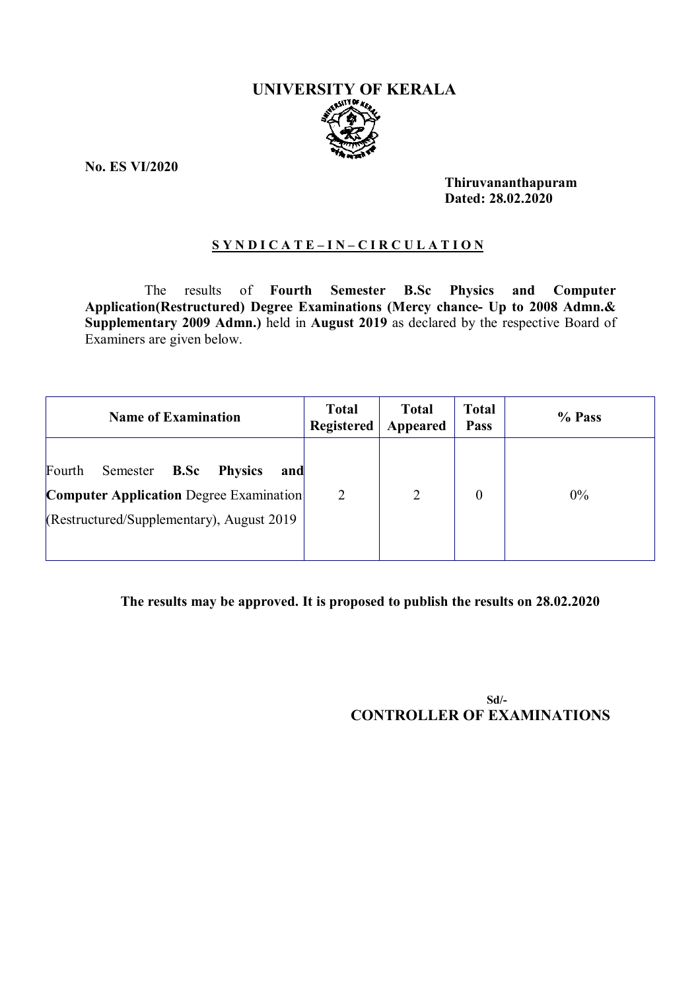# **UNIVERSITY OF KERALA**

**No. ES VI/2020**

**Thiruvananthapuram Dated: 28.02.2020**

#### **S Y N D I C A T E – I N – C I R C U L A T I O N**

The results of **Fourth Semester B.Sc Physics and Computer Application(Restructured) Degree Examinations (Mercy chance- Up to 2008 Admn.& Supplementary 2009 Admn.)** held in **August 2019** as declared by the respective Board of Examiners are given below.

| <b>Name of Examination</b>                                                                                                                            | <b>Total</b><br><b>Registered</b> | <b>Total</b><br>Appeared | <b>Total</b><br><b>Pass</b> | % Pass |
|-------------------------------------------------------------------------------------------------------------------------------------------------------|-----------------------------------|--------------------------|-----------------------------|--------|
| Fourth<br>B.Sc<br>Semester<br><b>Physics</b><br>and<br><b>Computer Application Degree Examination</b><br>$(Restructured/Supplementary)$ , August 2019 | $\overline{2}$                    | 2                        | $\theta$                    | $0\%$  |

### **The results may be approved. It is proposed to publish the results on 28.02.2020**

**Sd/- CONTROLLER OF EXAMINATIONS**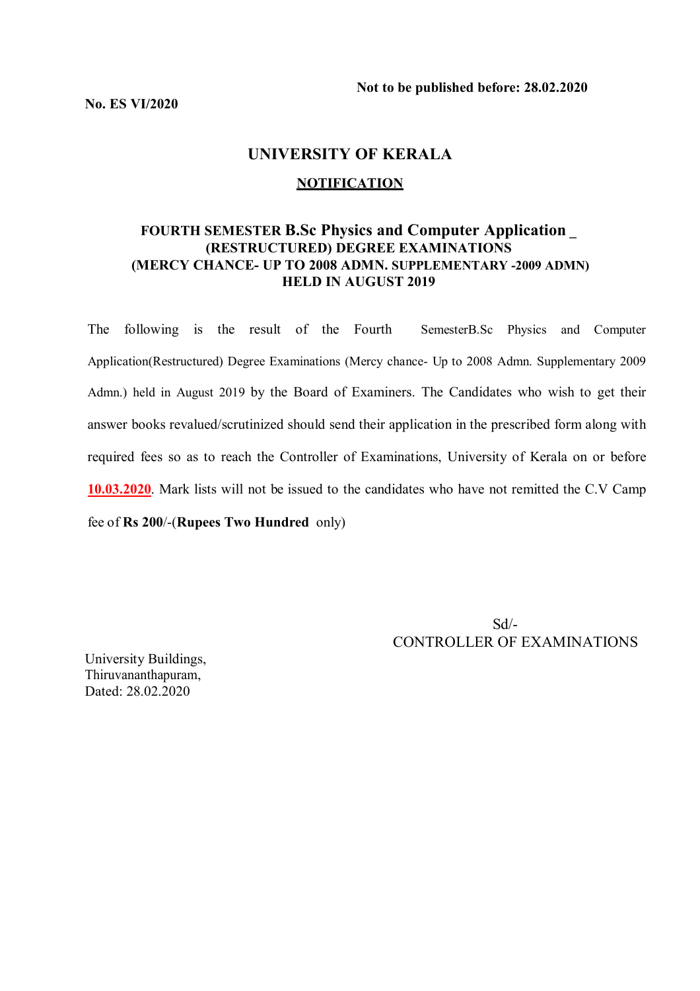# **UNIVERSITY OF KERALA**

#### **NOTIFICATION**

# **FOURTH SEMESTER B.Sc Physics and Computer Application \_ (RESTRUCTURED) DEGREE EXAMINATIONS (MERCY CHANCE- UP TO 2008 ADMN. SUPPLEMENTARY -2009 ADMN) HELD IN AUGUST 2019**

The following is the result of the Fourth SemesterB.Sc Physics and Computer Application(Restructured) Degree Examinations (Mercy chance- Up to 2008 Admn. Supplementary 2009 Admn.) held in August 2019 by the Board of Examiners. The Candidates who wish to get their answer books revalued/scrutinized should send their application in the prescribed form along with required fees so as to reach the Controller of Examinations, University of Kerala on or before **10.03.2020**. Mark lists will not be issued to the candidates who have not remitted the C.V Camp fee of **Rs 200**/-(**Rupees Two Hundred** only)

> Sd/- CONTROLLER OF EXAMINATIONS

University Buildings, Thiruvananthapuram, Dated: 28.02.2020